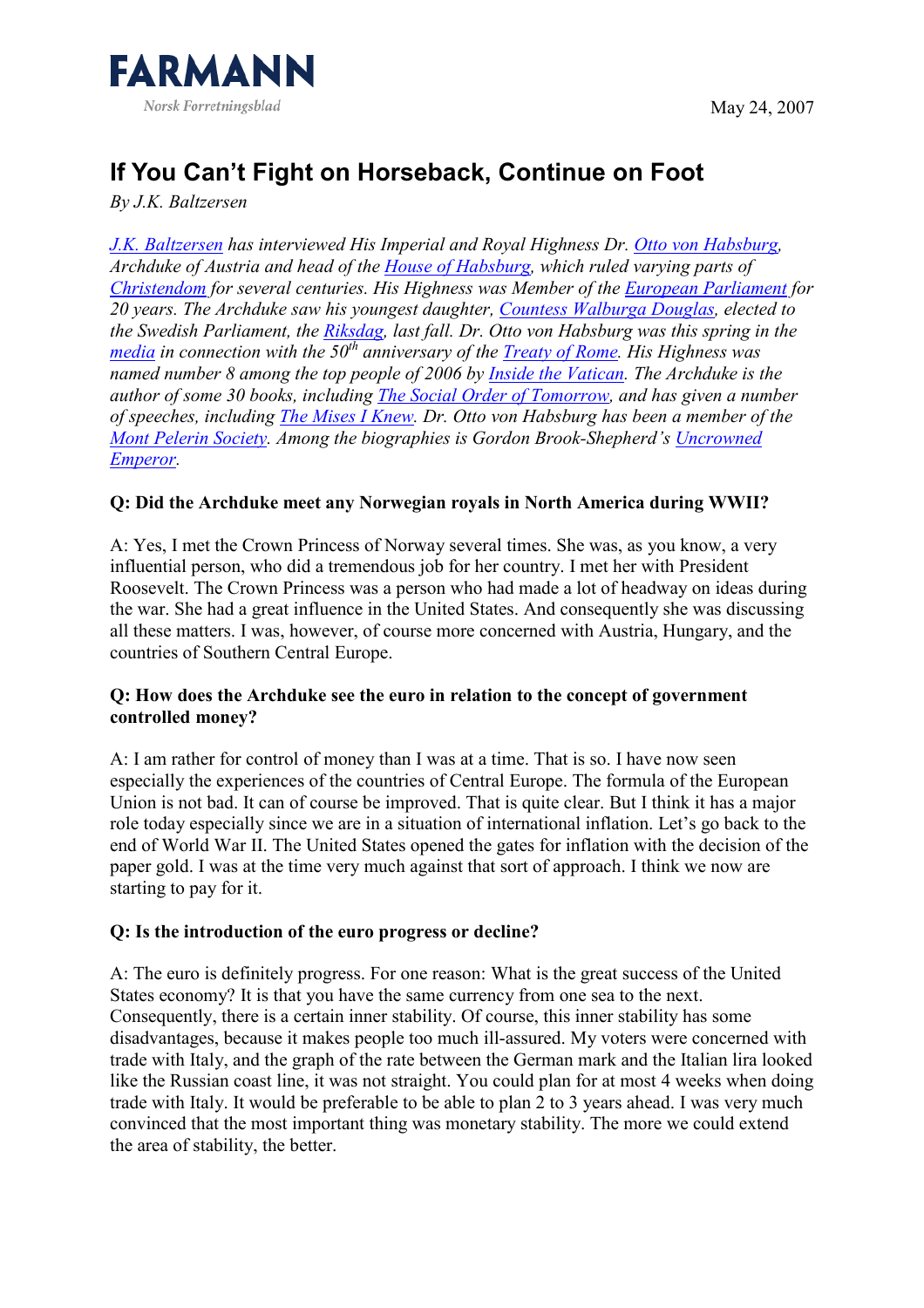

# If You Can't Fight on Horseback, Continue on Foot

By J.K. Baltzersen

J.K. Baltzersen has interviewed His Imperial and Royal Highness Dr. Otto von Habsburg, Archduke of Austria and head of the House of Habsburg, which ruled varying parts of Christendom for several centuries. His Highness was Member of the European Parliament for 20 years. The Archduke saw his youngest daughter, Countess Walburga Douglas, elected to the Swedish Parliament, the Riksdag, last fall. Dr. Otto von Habsburg was this spring in the media in connection with the  $50<sup>th</sup>$  anniversary of the Treaty of Rome. His Highness was named number 8 among the top people of 2006 by Inside the Vatican. The Archduke is the author of some 30 books, including The Social Order of Tomorrow, and has given a number of speeches, including The Mises I Knew. Dr. Otto von Habsburg has been a member of the Mont Pelerin Society. Among the biographies is Gordon Brook-Shepherd's Uncrowned Emperor.

## Q: Did the Archduke meet any Norwegian royals in North America during WWII?

A: Yes, I met the Crown Princess of Norway several times. She was, as you know, a very influential person, who did a tremendous job for her country. I met her with President Roosevelt. The Crown Princess was a person who had made a lot of headway on ideas during the war. She had a great influence in the United States. And consequently she was discussing all these matters. I was, however, of course more concerned with Austria, Hungary, and the countries of Southern Central Europe.

## Q: How does the Archduke see the euro in relation to the concept of government controlled money?

A: I am rather for control of money than I was at a time. That is so. I have now seen especially the experiences of the countries of Central Europe. The formula of the European Union is not bad. It can of course be improved. That is quite clear. But I think it has a major role today especially since we are in a situation of international inflation. Let's go back to the end of World War II. The United States opened the gates for inflation with the decision of the paper gold. I was at the time very much against that sort of approach. I think we now are starting to pay for it.

#### Q: Is the introduction of the euro progress or decline?

A: The euro is definitely progress. For one reason: What is the great success of the United States economy? It is that you have the same currency from one sea to the next. Consequently, there is a certain inner stability. Of course, this inner stability has some disadvantages, because it makes people too much ill-assured. My voters were concerned with trade with Italy, and the graph of the rate between the German mark and the Italian lira looked like the Russian coast line, it was not straight. You could plan for at most 4 weeks when doing trade with Italy. It would be preferable to be able to plan 2 to 3 years ahead. I was very much convinced that the most important thing was monetary stability. The more we could extend the area of stability, the better.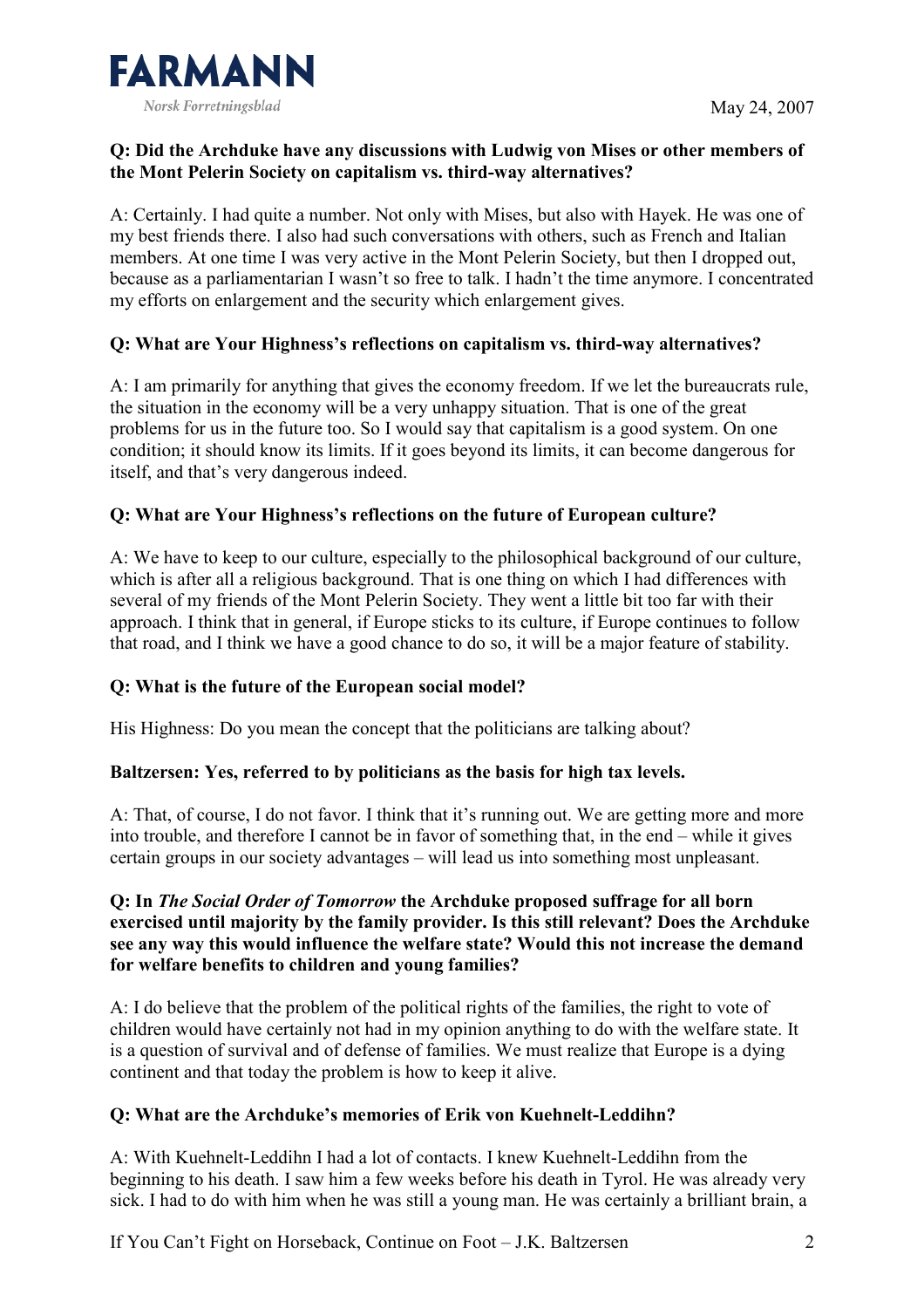

## Q: Did the Archduke have any discussions with Ludwig von Mises or other members of the Mont Pelerin Society on capitalism vs. third-way alternatives?

A: Certainly. I had quite a number. Not only with Mises, but also with Hayek. He was one of my best friends there. I also had such conversations with others, such as French and Italian members. At one time I was very active in the Mont Pelerin Society, but then I dropped out, because as a parliamentarian I wasn't so free to talk. I hadn't the time anymore. I concentrated my efforts on enlargement and the security which enlargement gives.

## Q: What are Your Highness's reflections on capitalism vs. third-way alternatives?

A: I am primarily for anything that gives the economy freedom. If we let the bureaucrats rule, the situation in the economy will be a very unhappy situation. That is one of the great problems for us in the future too. So I would say that capitalism is a good system. On one condition; it should know its limits. If it goes beyond its limits, it can become dangerous for itself, and that's very dangerous indeed.

# Q: What are Your Highness's reflections on the future of European culture?

A: We have to keep to our culture, especially to the philosophical background of our culture, which is after all a religious background. That is one thing on which I had differences with several of my friends of the Mont Pelerin Society. They went a little bit too far with their approach. I think that in general, if Europe sticks to its culture, if Europe continues to follow that road, and I think we have a good chance to do so, it will be a major feature of stability.

## Q: What is the future of the European social model?

His Highness: Do you mean the concept that the politicians are talking about?

## Baltzersen: Yes, referred to by politicians as the basis for high tax levels.

A: That, of course, I do not favor. I think that it's running out. We are getting more and more into trouble, and therefore I cannot be in favor of something that, in the end – while it gives certain groups in our society advantages – will lead us into something most unpleasant.

#### Q: In The Social Order of Tomorrow the Archduke proposed suffrage for all born exercised until majority by the family provider. Is this still relevant? Does the Archduke see any way this would influence the welfare state? Would this not increase the demand for welfare benefits to children and young families?

A: I do believe that the problem of the political rights of the families, the right to vote of children would have certainly not had in my opinion anything to do with the welfare state. It is a question of survival and of defense of families. We must realize that Europe is a dying continent and that today the problem is how to keep it alive.

## Q: What are the Archduke's memories of Erik von Kuehnelt-Leddihn?

A: With Kuehnelt-Leddihn I had a lot of contacts. I knew Kuehnelt-Leddihn from the beginning to his death. I saw him a few weeks before his death in Tyrol. He was already very sick. I had to do with him when he was still a young man. He was certainly a brilliant brain, a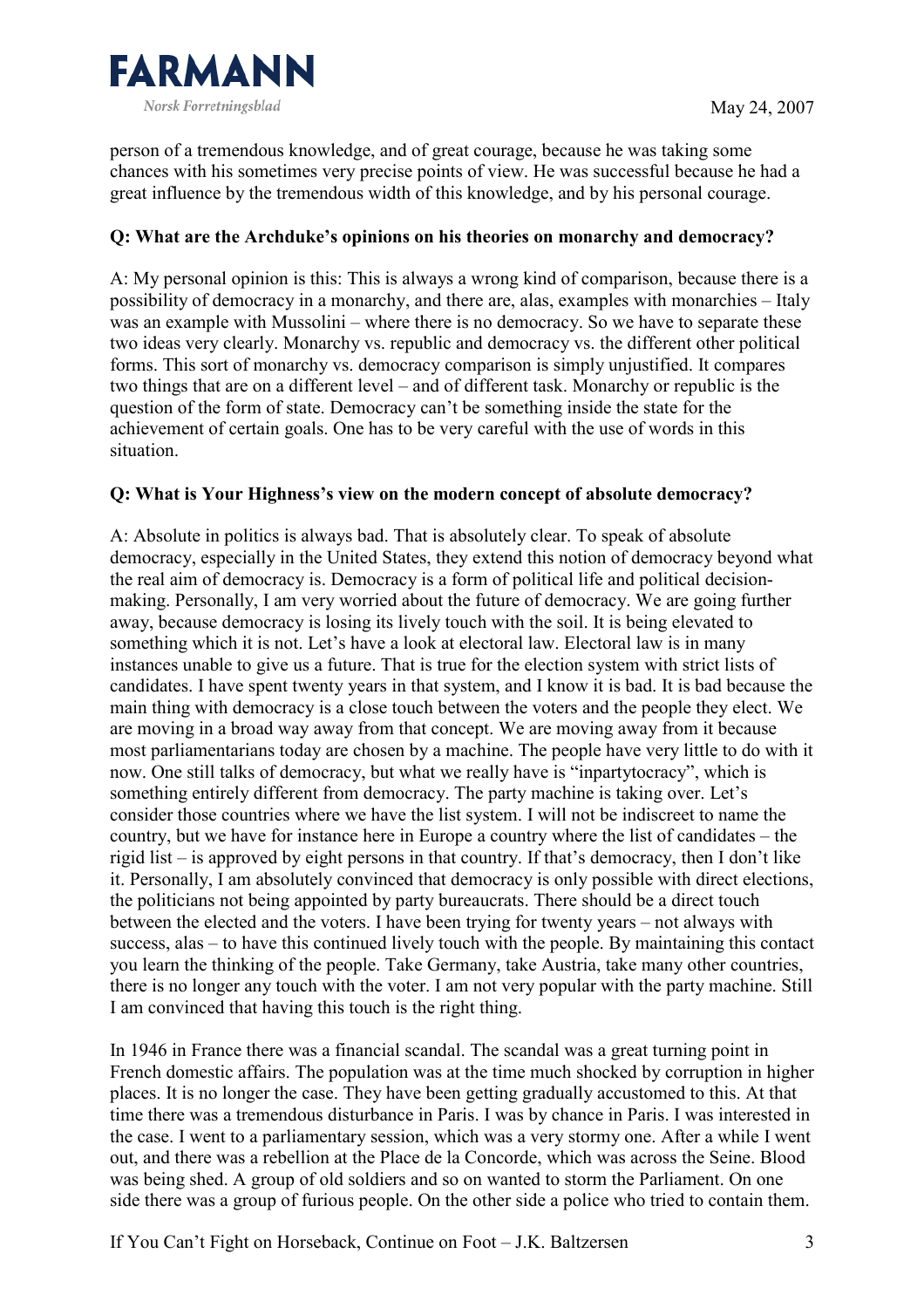

person of a tremendous knowledge, and of great courage, because he was taking some chances with his sometimes very precise points of view. He was successful because he had a great influence by the tremendous width of this knowledge, and by his personal courage.

## Q: What are the Archduke's opinions on his theories on monarchy and democracy?

A: My personal opinion is this: This is always a wrong kind of comparison, because there is a possibility of democracy in a monarchy, and there are, alas, examples with monarchies – Italy was an example with Mussolini – where there is no democracy. So we have to separate these two ideas very clearly. Monarchy vs. republic and democracy vs. the different other political forms. This sort of monarchy vs. democracy comparison is simply unjustified. It compares two things that are on a different level – and of different task. Monarchy or republic is the question of the form of state. Democracy can't be something inside the state for the achievement of certain goals. One has to be very careful with the use of words in this situation.

#### Q: What is Your Highness's view on the modern concept of absolute democracy?

A: Absolute in politics is always bad. That is absolutely clear. To speak of absolute democracy, especially in the United States, they extend this notion of democracy beyond what the real aim of democracy is. Democracy is a form of political life and political decisionmaking. Personally, I am very worried about the future of democracy. We are going further away, because democracy is losing its lively touch with the soil. It is being elevated to something which it is not. Let's have a look at electoral law. Electoral law is in many instances unable to give us a future. That is true for the election system with strict lists of candidates. I have spent twenty years in that system, and I know it is bad. It is bad because the main thing with democracy is a close touch between the voters and the people they elect. We are moving in a broad way away from that concept. We are moving away from it because most parliamentarians today are chosen by a machine. The people have very little to do with it now. One still talks of democracy, but what we really have is "inpartytocracy", which is something entirely different from democracy. The party machine is taking over. Let's consider those countries where we have the list system. I will not be indiscreet to name the country, but we have for instance here in Europe a country where the list of candidates – the rigid list – is approved by eight persons in that country. If that's democracy, then I don't like it. Personally, I am absolutely convinced that democracy is only possible with direct elections, the politicians not being appointed by party bureaucrats. There should be a direct touch between the elected and the voters. I have been trying for twenty years – not always with success, alas – to have this continued lively touch with the people. By maintaining this contact you learn the thinking of the people. Take Germany, take Austria, take many other countries, there is no longer any touch with the voter. I am not very popular with the party machine. Still I am convinced that having this touch is the right thing.

In 1946 in France there was a financial scandal. The scandal was a great turning point in French domestic affairs. The population was at the time much shocked by corruption in higher places. It is no longer the case. They have been getting gradually accustomed to this. At that time there was a tremendous disturbance in Paris. I was by chance in Paris. I was interested in the case. I went to a parliamentary session, which was a very stormy one. After a while I went out, and there was a rebellion at the Place de la Concorde, which was across the Seine. Blood was being shed. A group of old soldiers and so on wanted to storm the Parliament. On one side there was a group of furious people. On the other side a police who tried to contain them.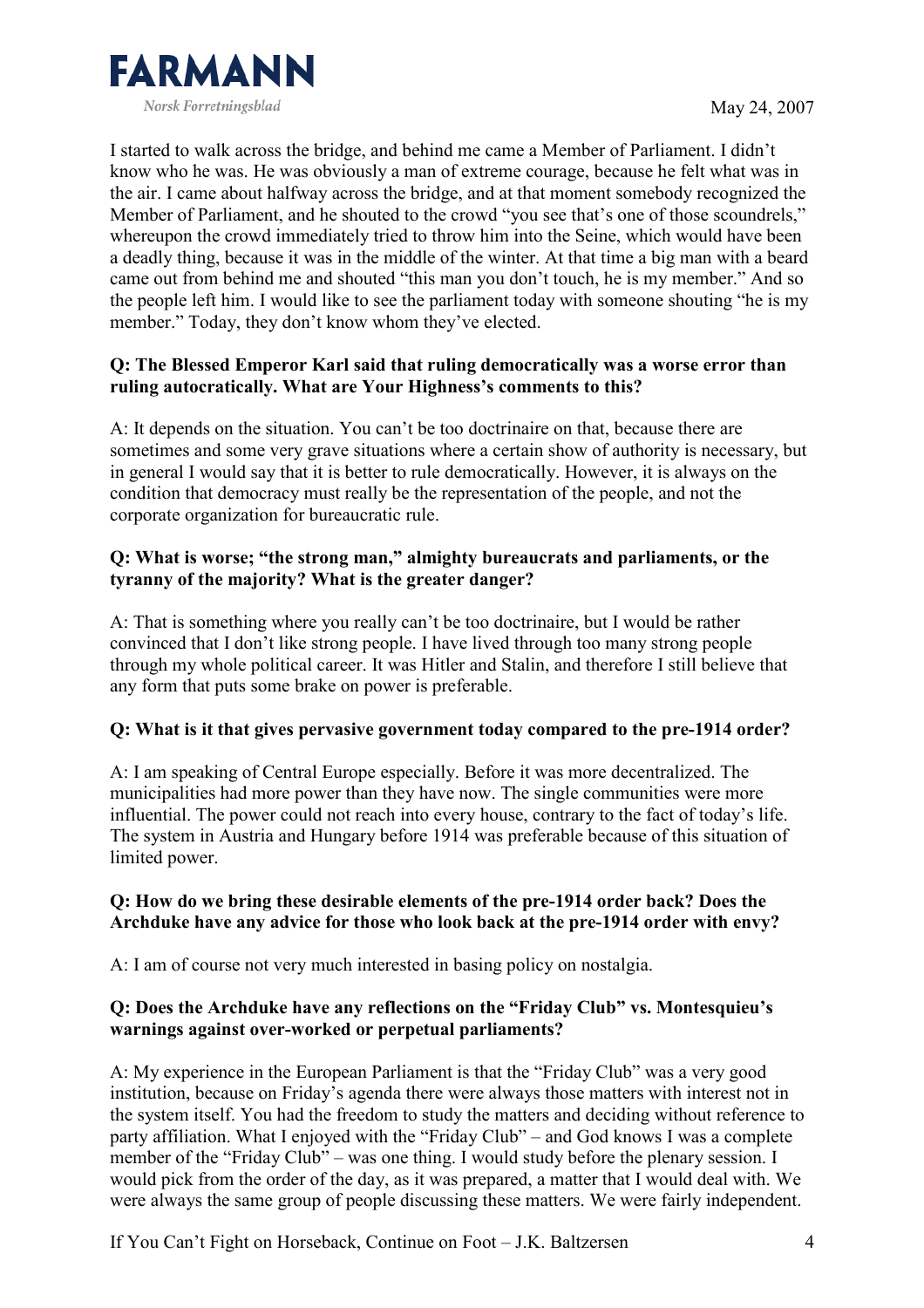

I started to walk across the bridge, and behind me came a Member of Parliament. I didn't know who he was. He was obviously a man of extreme courage, because he felt what was in the air. I came about halfway across the bridge, and at that moment somebody recognized the Member of Parliament, and he shouted to the crowd "you see that's one of those scoundrels." whereupon the crowd immediately tried to throw him into the Seine, which would have been a deadly thing, because it was in the middle of the winter. At that time a big man with a beard came out from behind me and shouted "this man you don't touch, he is my member." And so the people left him. I would like to see the parliament today with someone shouting "he is my member." Today, they don't know whom they've elected.

## Q: The Blessed Emperor Karl said that ruling democratically was a worse error than ruling autocratically. What are Your Highness's comments to this?

A: It depends on the situation. You can't be too doctrinaire on that, because there are sometimes and some very grave situations where a certain show of authority is necessary, but in general I would say that it is better to rule democratically. However, it is always on the condition that democracy must really be the representation of the people, and not the corporate organization for bureaucratic rule.

## Q: What is worse; "the strong man," almighty bureaucrats and parliaments, or the tyranny of the majority? What is the greater danger?

A: That is something where you really can't be too doctrinaire, but I would be rather convinced that I don't like strong people. I have lived through too many strong people through my whole political career. It was Hitler and Stalin, and therefore I still believe that any form that puts some brake on power is preferable.

## Q: What is it that gives pervasive government today compared to the pre-1914 order?

A: I am speaking of Central Europe especially. Before it was more decentralized. The municipalities had more power than they have now. The single communities were more influential. The power could not reach into every house, contrary to the fact of today's life. The system in Austria and Hungary before 1914 was preferable because of this situation of limited power.

#### Q: How do we bring these desirable elements of the pre-1914 order back? Does the Archduke have any advice for those who look back at the pre-1914 order with envy?

A: I am of course not very much interested in basing policy on nostalgia.

#### Q: Does the Archduke have any reflections on the "Friday Club" vs. Montesquieu's warnings against over-worked or perpetual parliaments?

A: My experience in the European Parliament is that the "Friday Club" was a very good institution, because on Friday's agenda there were always those matters with interest not in the system itself. You had the freedom to study the matters and deciding without reference to party affiliation. What I enjoyed with the "Friday Club" – and God knows I was a complete member of the "Friday Club" – was one thing. I would study before the plenary session. I would pick from the order of the day, as it was prepared, a matter that I would deal with. We were always the same group of people discussing these matters. We were fairly independent.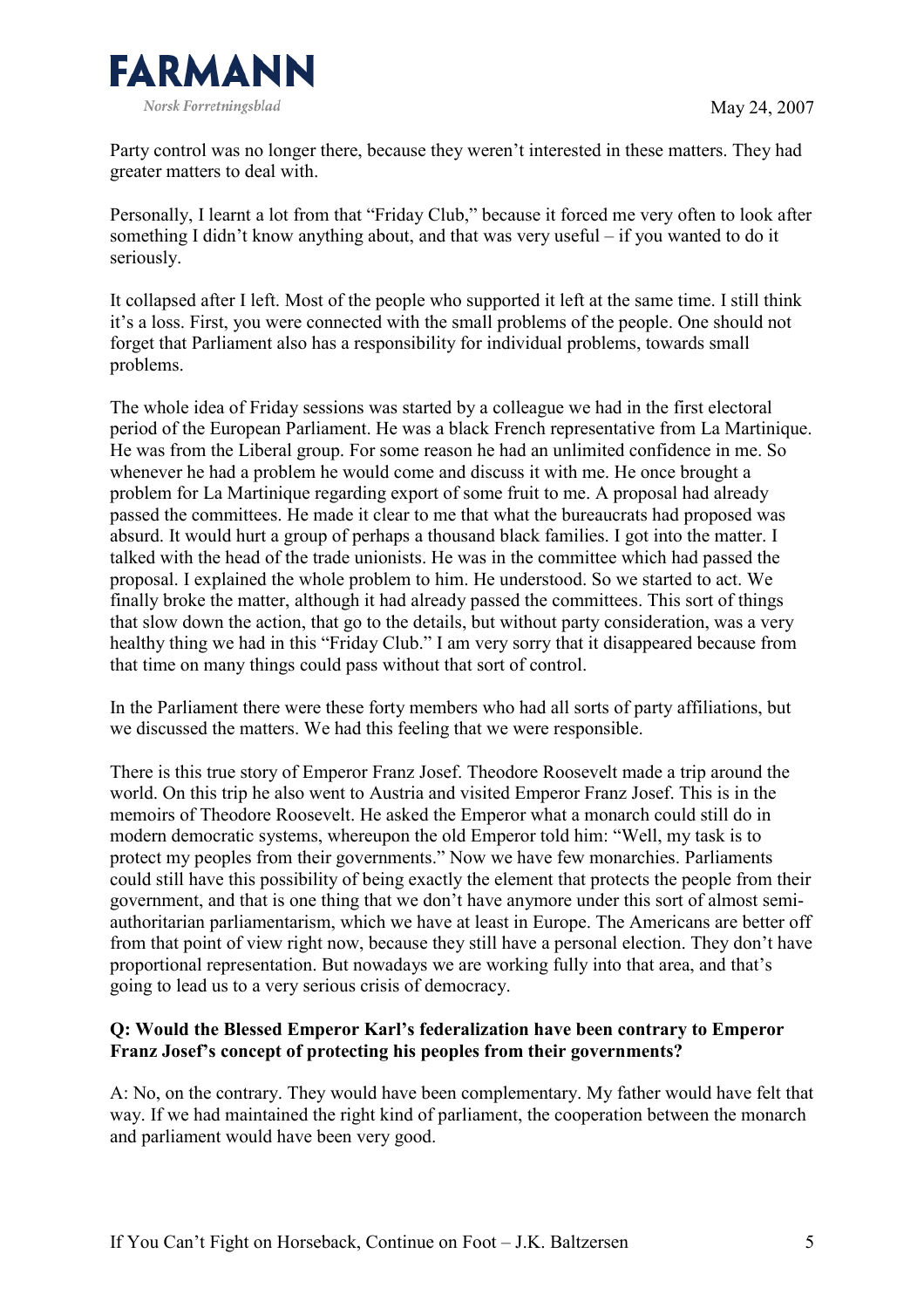

Party control was no longer there, because they weren't interested in these matters. They had greater matters to deal with.

Personally, I learnt a lot from that "Friday Club," because it forced me very often to look after something I didn't know anything about, and that was very useful – if you wanted to do it seriously.

It collapsed after I left. Most of the people who supported it left at the same time. I still think it's a loss. First, you were connected with the small problems of the people. One should not forget that Parliament also has a responsibility for individual problems, towards small problems.

The whole idea of Friday sessions was started by a colleague we had in the first electoral period of the European Parliament. He was a black French representative from La Martinique. He was from the Liberal group. For some reason he had an unlimited confidence in me. So whenever he had a problem he would come and discuss it with me. He once brought a problem for La Martinique regarding export of some fruit to me. A proposal had already passed the committees. He made it clear to me that what the bureaucrats had proposed was absurd. It would hurt a group of perhaps a thousand black families. I got into the matter. I talked with the head of the trade unionists. He was in the committee which had passed the proposal. I explained the whole problem to him. He understood. So we started to act. We finally broke the matter, although it had already passed the committees. This sort of things that slow down the action, that go to the details, but without party consideration, was a very healthy thing we had in this "Friday Club." I am very sorry that it disappeared because from that time on many things could pass without that sort of control.

In the Parliament there were these forty members who had all sorts of party affiliations, but we discussed the matters. We had this feeling that we were responsible.

There is this true story of Emperor Franz Josef. Theodore Roosevelt made a trip around the world. On this trip he also went to Austria and visited Emperor Franz Josef. This is in the memoirs of Theodore Roosevelt. He asked the Emperor what a monarch could still do in modern democratic systems, whereupon the old Emperor told him: "Well, my task is to protect my peoples from their governments." Now we have few monarchies. Parliaments could still have this possibility of being exactly the element that protects the people from their government, and that is one thing that we don't have anymore under this sort of almost semiauthoritarian parliamentarism, which we have at least in Europe. The Americans are better off from that point of view right now, because they still have a personal election. They don't have proportional representation. But nowadays we are working fully into that area, and that's going to lead us to a very serious crisis of democracy.

#### Q: Would the Blessed Emperor Karl's federalization have been contrary to Emperor Franz Josef's concept of protecting his peoples from their governments?

A: No, on the contrary. They would have been complementary. My father would have felt that way. If we had maintained the right kind of parliament, the cooperation between the monarch and parliament would have been very good.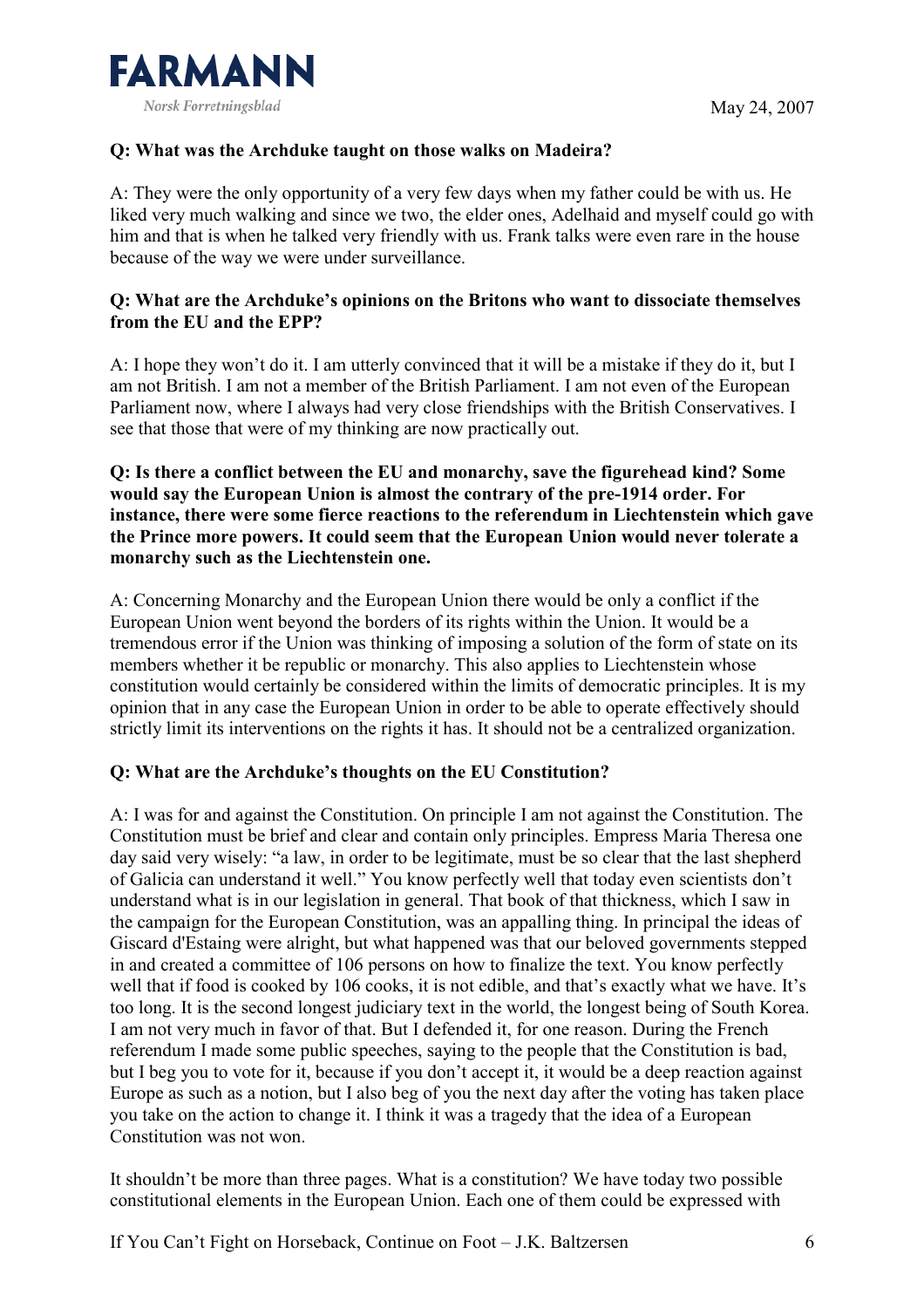

# Q: What was the Archduke taught on those walks on Madeira?

A: They were the only opportunity of a very few days when my father could be with us. He liked very much walking and since we two, the elder ones, Adelhaid and myself could go with him and that is when he talked very friendly with us. Frank talks were even rare in the house because of the way we were under surveillance.

# Q: What are the Archduke's opinions on the Britons who want to dissociate themselves from the EU and the EPP?

A: I hope they won't do it. I am utterly convinced that it will be a mistake if they do it, but I am not British. I am not a member of the British Parliament. I am not even of the European Parliament now, where I always had very close friendships with the British Conservatives. I see that those that were of my thinking are now practically out.

## Q: Is there a conflict between the EU and monarchy, save the figurehead kind? Some would say the European Union is almost the contrary of the pre-1914 order. For instance, there were some fierce reactions to the referendum in Liechtenstein which gave the Prince more powers. It could seem that the European Union would never tolerate a monarchy such as the Liechtenstein one.

A: Concerning Monarchy and the European Union there would be only a conflict if the European Union went beyond the borders of its rights within the Union. It would be a tremendous error if the Union was thinking of imposing a solution of the form of state on its members whether it be republic or monarchy. This also applies to Liechtenstein whose constitution would certainly be considered within the limits of democratic principles. It is my opinion that in any case the European Union in order to be able to operate effectively should strictly limit its interventions on the rights it has. It should not be a centralized organization.

# Q: What are the Archduke's thoughts on the EU Constitution?

A: I was for and against the Constitution. On principle I am not against the Constitution. The Constitution must be brief and clear and contain only principles. Empress Maria Theresa one day said very wisely: "a law, in order to be legitimate, must be so clear that the last shepherd of Galicia can understand it well." You know perfectly well that today even scientists don't understand what is in our legislation in general. That book of that thickness, which I saw in the campaign for the European Constitution, was an appalling thing. In principal the ideas of Giscard d'Estaing were alright, but what happened was that our beloved governments stepped in and created a committee of 106 persons on how to finalize the text. You know perfectly well that if food is cooked by 106 cooks, it is not edible, and that's exactly what we have. It's too long. It is the second longest judiciary text in the world, the longest being of South Korea. I am not very much in favor of that. But I defended it, for one reason. During the French referendum I made some public speeches, saying to the people that the Constitution is bad, but I beg you to vote for it, because if you don't accept it, it would be a deep reaction against Europe as such as a notion, but I also beg of you the next day after the voting has taken place you take on the action to change it. I think it was a tragedy that the idea of a European Constitution was not won.

It shouldn't be more than three pages. What is a constitution? We have today two possible constitutional elements in the European Union. Each one of them could be expressed with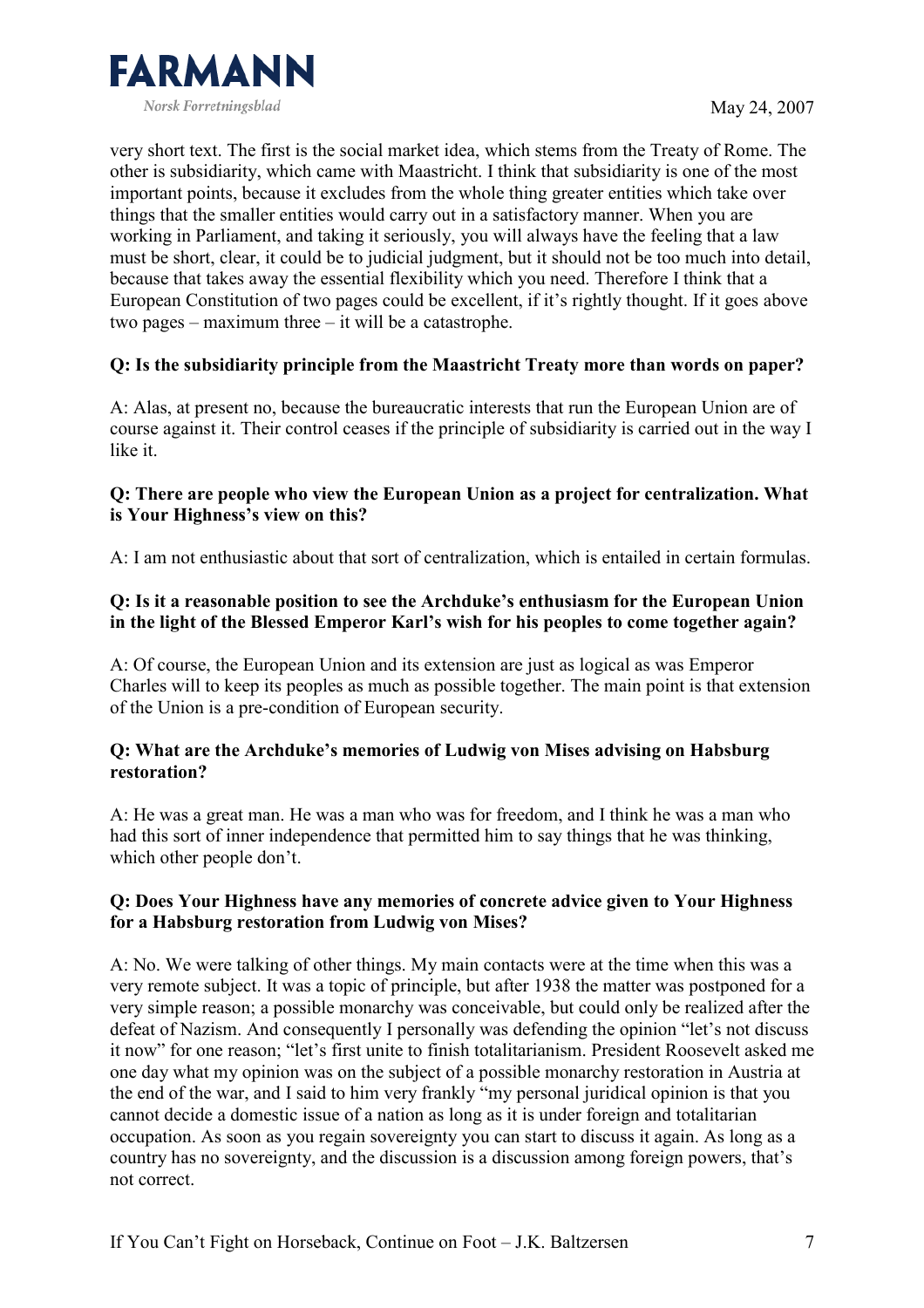

very short text. The first is the social market idea, which stems from the Treaty of Rome. The other is subsidiarity, which came with Maastricht. I think that subsidiarity is one of the most important points, because it excludes from the whole thing greater entities which take over things that the smaller entities would carry out in a satisfactory manner. When you are working in Parliament, and taking it seriously, you will always have the feeling that a law must be short, clear, it could be to judicial judgment, but it should not be too much into detail, because that takes away the essential flexibility which you need. Therefore I think that a European Constitution of two pages could be excellent, if it's rightly thought. If it goes above two pages – maximum three – it will be a catastrophe.

## Q: Is the subsidiarity principle from the Maastricht Treaty more than words on paper?

A: Alas, at present no, because the bureaucratic interests that run the European Union are of course against it. Their control ceases if the principle of subsidiarity is carried out in the way I like it.

#### Q: There are people who view the European Union as a project for centralization. What is Your Highness's view on this?

A: I am not enthusiastic about that sort of centralization, which is entailed in certain formulas.

## Q: Is it a reasonable position to see the Archduke's enthusiasm for the European Union in the light of the Blessed Emperor Karl's wish for his peoples to come together again?

A: Of course, the European Union and its extension are just as logical as was Emperor Charles will to keep its peoples as much as possible together. The main point is that extension of the Union is a pre-condition of European security.

#### Q: What are the Archduke's memories of Ludwig von Mises advising on Habsburg restoration?

A: He was a great man. He was a man who was for freedom, and I think he was a man who had this sort of inner independence that permitted him to say things that he was thinking, which other people don't.

#### Q: Does Your Highness have any memories of concrete advice given to Your Highness for a Habsburg restoration from Ludwig von Mises?

A: No. We were talking of other things. My main contacts were at the time when this was a very remote subject. It was a topic of principle, but after 1938 the matter was postponed for a very simple reason; a possible monarchy was conceivable, but could only be realized after the defeat of Nazism. And consequently I personally was defending the opinion "let's not discuss it now" for one reason; "let's first unite to finish totalitarianism. President Roosevelt asked me one day what my opinion was on the subject of a possible monarchy restoration in Austria at the end of the war, and I said to him very frankly "my personal juridical opinion is that you cannot decide a domestic issue of a nation as long as it is under foreign and totalitarian occupation. As soon as you regain sovereignty you can start to discuss it again. As long as a country has no sovereignty, and the discussion is a discussion among foreign powers, that's not correct.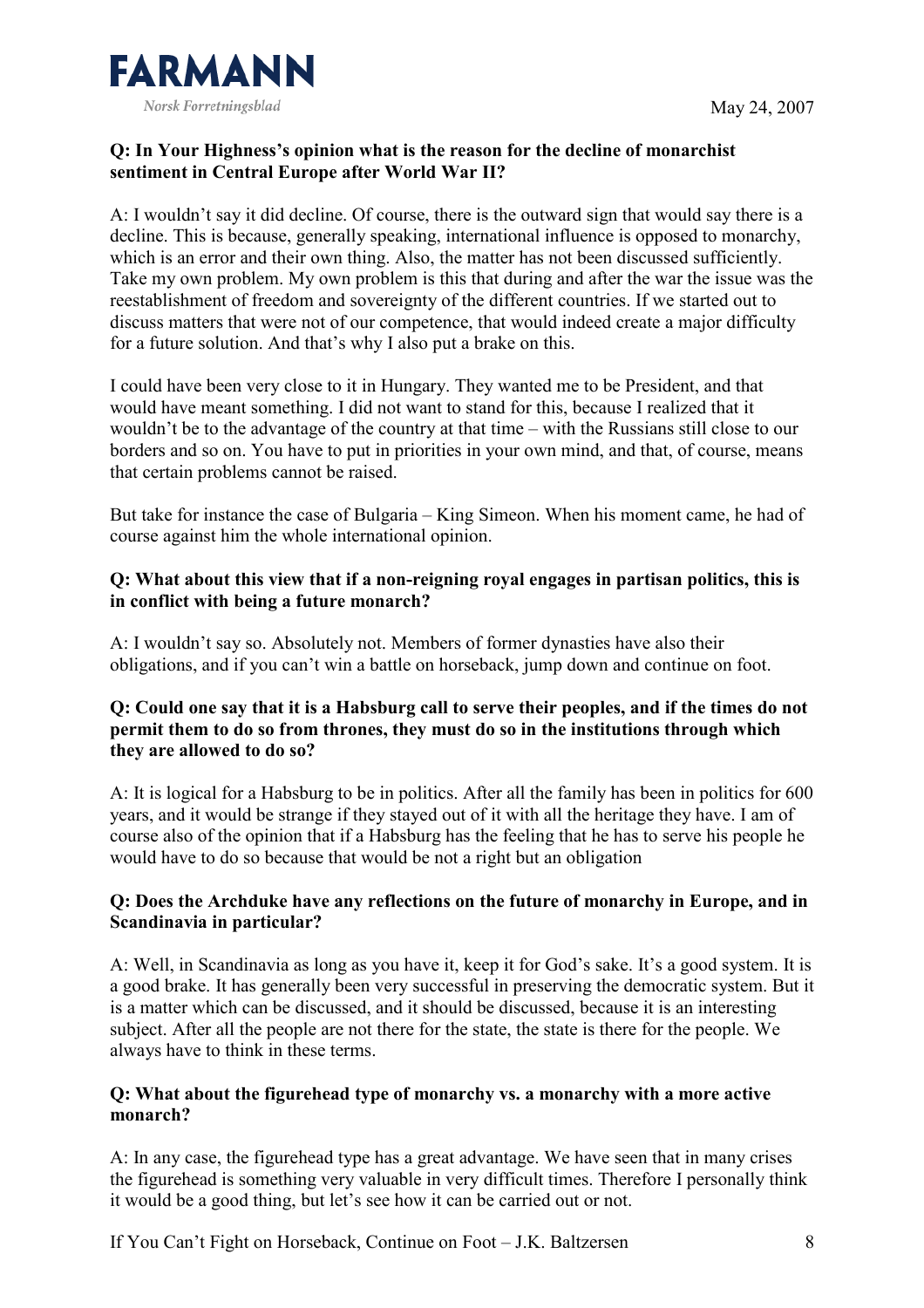

## Q: In Your Highness's opinion what is the reason for the decline of monarchist sentiment in Central Europe after World War II?

A: I wouldn't say it did decline. Of course, there is the outward sign that would say there is a decline. This is because, generally speaking, international influence is opposed to monarchy, which is an error and their own thing. Also, the matter has not been discussed sufficiently. Take my own problem. My own problem is this that during and after the war the issue was the reestablishment of freedom and sovereignty of the different countries. If we started out to discuss matters that were not of our competence, that would indeed create a major difficulty for a future solution. And that's why I also put a brake on this.

I could have been very close to it in Hungary. They wanted me to be President, and that would have meant something. I did not want to stand for this, because I realized that it wouldn't be to the advantage of the country at that time – with the Russians still close to our borders and so on. You have to put in priorities in your own mind, and that, of course, means that certain problems cannot be raised.

But take for instance the case of Bulgaria – King Simeon. When his moment came, he had of course against him the whole international opinion.

#### Q: What about this view that if a non-reigning royal engages in partisan politics, this is in conflict with being a future monarch?

A: I wouldn't say so. Absolutely not. Members of former dynasties have also their obligations, and if you can't win a battle on horseback, jump down and continue on foot.

## Q: Could one say that it is a Habsburg call to serve their peoples, and if the times do not permit them to do so from thrones, they must do so in the institutions through which they are allowed to do so?

A: It is logical for a Habsburg to be in politics. After all the family has been in politics for 600 years, and it would be strange if they stayed out of it with all the heritage they have. I am of course also of the opinion that if a Habsburg has the feeling that he has to serve his people he would have to do so because that would be not a right but an obligation

#### Q: Does the Archduke have any reflections on the future of monarchy in Europe, and in Scandinavia in particular?

A: Well, in Scandinavia as long as you have it, keep it for God's sake. It's a good system. It is a good brake. It has generally been very successful in preserving the democratic system. But it is a matter which can be discussed, and it should be discussed, because it is an interesting subject. After all the people are not there for the state, the state is there for the people. We always have to think in these terms.

#### Q: What about the figurehead type of monarchy vs. a monarchy with a more active monarch?

A: In any case, the figurehead type has a great advantage. We have seen that in many crises the figurehead is something very valuable in very difficult times. Therefore I personally think it would be a good thing, but let's see how it can be carried out or not.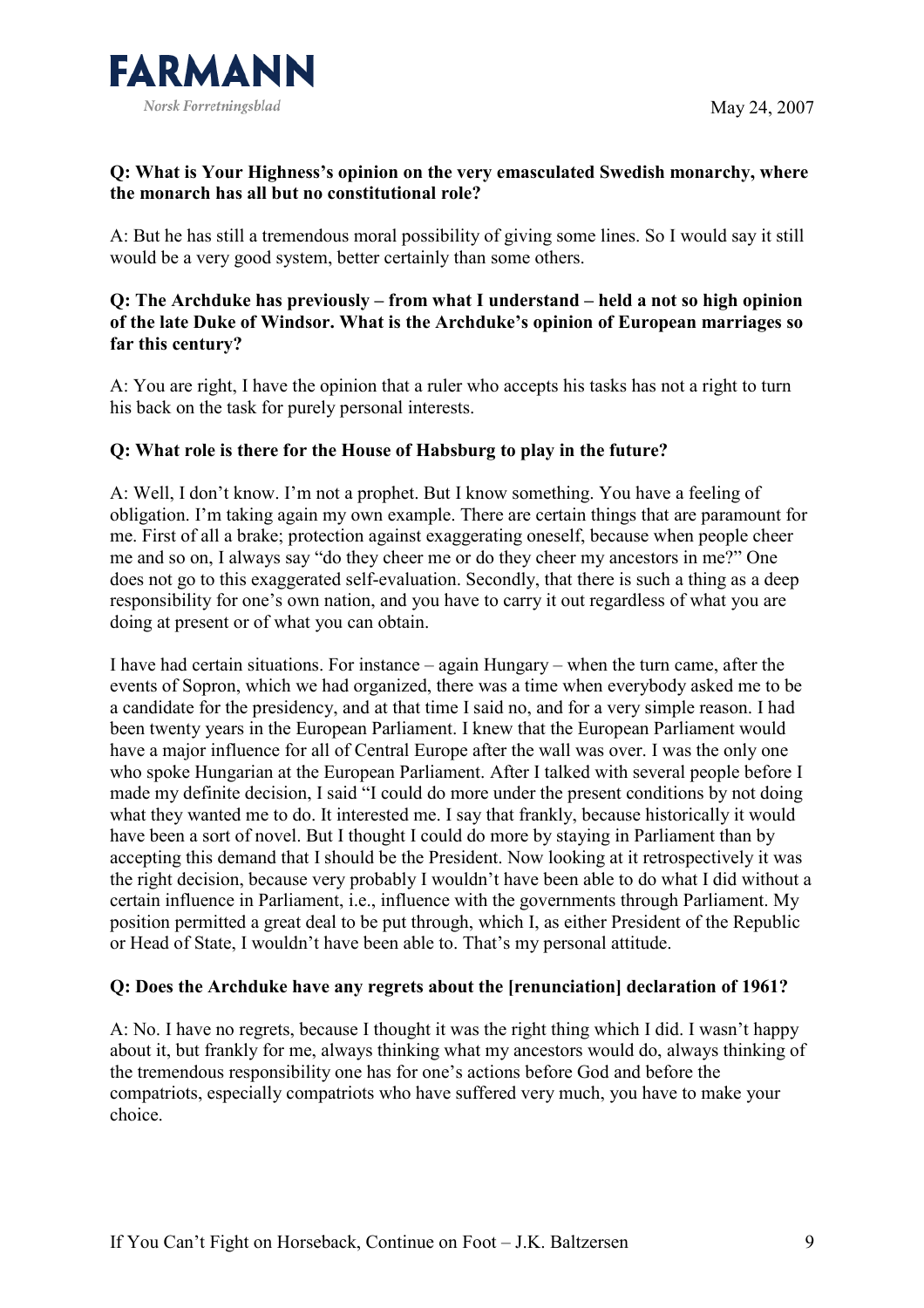

## Q: What is Your Highness's opinion on the very emasculated Swedish monarchy, where the monarch has all but no constitutional role?

A: But he has still a tremendous moral possibility of giving some lines. So I would say it still would be a very good system, better certainly than some others.

## Q: The Archduke has previously – from what I understand – held a not so high opinion of the late Duke of Windsor. What is the Archduke's opinion of European marriages so far this century?

A: You are right, I have the opinion that a ruler who accepts his tasks has not a right to turn his back on the task for purely personal interests.

#### Q: What role is there for the House of Habsburg to play in the future?

A: Well, I don't know. I'm not a prophet. But I know something. You have a feeling of obligation. I'm taking again my own example. There are certain things that are paramount for me. First of all a brake; protection against exaggerating oneself, because when people cheer me and so on, I always say "do they cheer me or do they cheer my ancestors in me?" One does not go to this exaggerated self-evaluation. Secondly, that there is such a thing as a deep responsibility for one's own nation, and you have to carry it out regardless of what you are doing at present or of what you can obtain.

I have had certain situations. For instance – again Hungary – when the turn came, after the events of Sopron, which we had organized, there was a time when everybody asked me to be a candidate for the presidency, and at that time I said no, and for a very simple reason. I had been twenty years in the European Parliament. I knew that the European Parliament would have a major influence for all of Central Europe after the wall was over. I was the only one who spoke Hungarian at the European Parliament. After I talked with several people before I made my definite decision, I said "I could do more under the present conditions by not doing what they wanted me to do. It interested me. I say that frankly, because historically it would have been a sort of novel. But I thought I could do more by staying in Parliament than by accepting this demand that I should be the President. Now looking at it retrospectively it was the right decision, because very probably I wouldn't have been able to do what I did without a certain influence in Parliament, i.e., influence with the governments through Parliament. My position permitted a great deal to be put through, which I, as either President of the Republic or Head of State, I wouldn't have been able to. That's my personal attitude.

## Q: Does the Archduke have any regrets about the [renunciation] declaration of 1961?

A: No. I have no regrets, because I thought it was the right thing which I did. I wasn't happy about it, but frankly for me, always thinking what my ancestors would do, always thinking of the tremendous responsibility one has for one's actions before God and before the compatriots, especially compatriots who have suffered very much, you have to make your choice.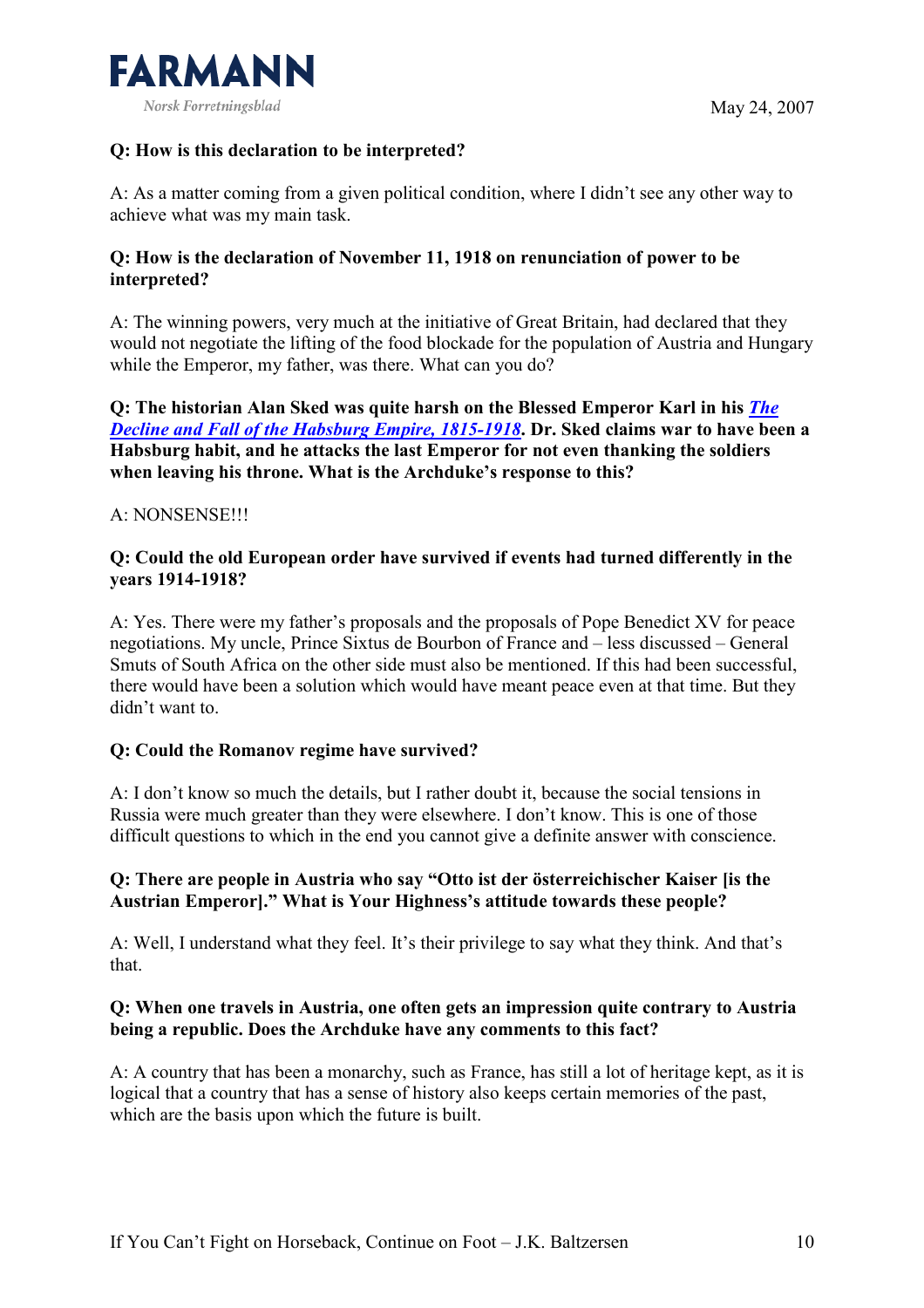

## Q: How is this declaration to be interpreted?

A: As a matter coming from a given political condition, where I didn't see any other way to achieve what was my main task.

#### Q: How is the declaration of November 11, 1918 on renunciation of power to be interpreted?

A: The winning powers, very much at the initiative of Great Britain, had declared that they would not negotiate the lifting of the food blockade for the population of Austria and Hungary while the Emperor, my father, was there. What can you do?

Q: The historian Alan Sked was quite harsh on the Blessed Emperor Karl in his The Decline and Fall of the Habsburg Empire, 1815-1918. Dr. Sked claims war to have been a Habsburg habit, and he attacks the last Emperor for not even thanking the soldiers when leaving his throne. What is the Archduke's response to this?

#### A: NONSENSE!!!

#### Q: Could the old European order have survived if events had turned differently in the years 1914-1918?

A: Yes. There were my father's proposals and the proposals of Pope Benedict XV for peace negotiations. My uncle, Prince Sixtus de Bourbon of France and – less discussed – General Smuts of South Africa on the other side must also be mentioned. If this had been successful, there would have been a solution which would have meant peace even at that time. But they didn't want to.

## Q: Could the Romanov regime have survived?

A: I don't know so much the details, but I rather doubt it, because the social tensions in Russia were much greater than they were elsewhere. I don't know. This is one of those difficult questions to which in the end you cannot give a definite answer with conscience.

## Q: There are people in Austria who say "Otto ist der österreichischer Kaiser [is the Austrian Emperor]." What is Your Highness's attitude towards these people?

A: Well, I understand what they feel. It's their privilege to say what they think. And that's that.

#### Q: When one travels in Austria, one often gets an impression quite contrary to Austria being a republic. Does the Archduke have any comments to this fact?

A: A country that has been a monarchy, such as France, has still a lot of heritage kept, as it is logical that a country that has a sense of history also keeps certain memories of the past, which are the basis upon which the future is built.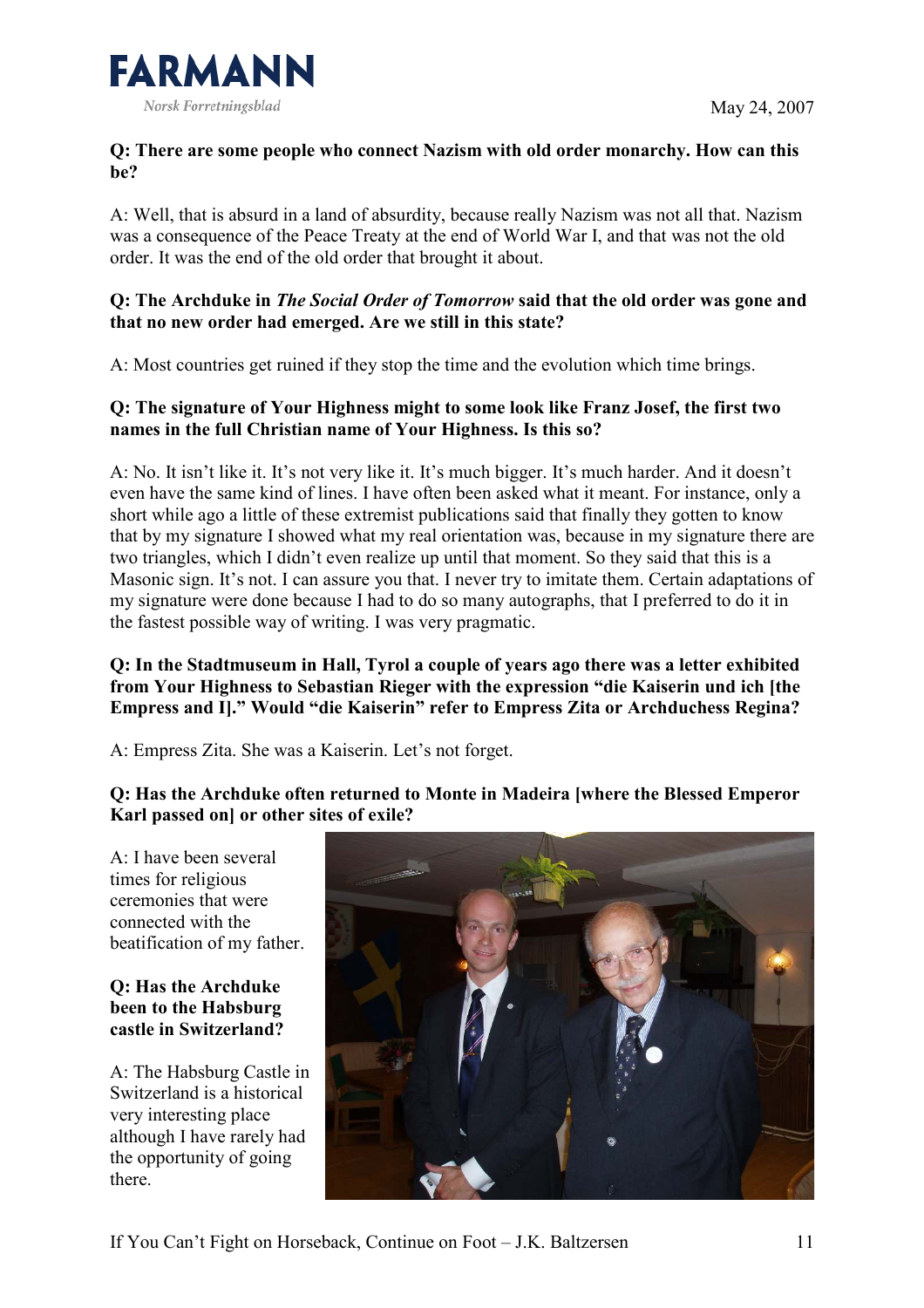

# Q: There are some people who connect Nazism with old order monarchy. How can this be?

A: Well, that is absurd in a land of absurdity, because really Nazism was not all that. Nazism was a consequence of the Peace Treaty at the end of World War I, and that was not the old order. It was the end of the old order that brought it about.

# Q: The Archduke in The Social Order of Tomorrow said that the old order was gone and that no new order had emerged. Are we still in this state?

A: Most countries get ruined if they stop the time and the evolution which time brings.

# Q: The signature of Your Highness might to some look like Franz Josef, the first two names in the full Christian name of Your Highness. Is this so?

A: No. It isn't like it. It's not very like it. It's much bigger. It's much harder. And it doesn't even have the same kind of lines. I have often been asked what it meant. For instance, only a short while ago a little of these extremist publications said that finally they gotten to know that by my signature I showed what my real orientation was, because in my signature there are two triangles, which I didn't even realize up until that moment. So they said that this is a Masonic sign. It's not. I can assure you that. I never try to imitate them. Certain adaptations of my signature were done because I had to do so many autographs, that I preferred to do it in the fastest possible way of writing. I was very pragmatic.

## Q: In the Stadtmuseum in Hall, Tyrol a couple of years ago there was a letter exhibited from Your Highness to Sebastian Rieger with the expression "die Kaiserin und ich [the Empress and I]." Would "die Kaiserin" refer to Empress Zita or Archduchess Regina?

A: Empress Zita. She was a Kaiserin. Let's not forget.

# Q: Has the Archduke often returned to Monte in Madeira [where the Blessed Emperor Karl passed on] or other sites of exile?

A: I have been several times for religious ceremonies that were connected with the beatification of my father.

#### Q: Has the Archduke been to the Habsburg castle in Switzerland?

A: The Habsburg Castle in Switzerland is a historical very interesting place although I have rarely had the opportunity of going there.